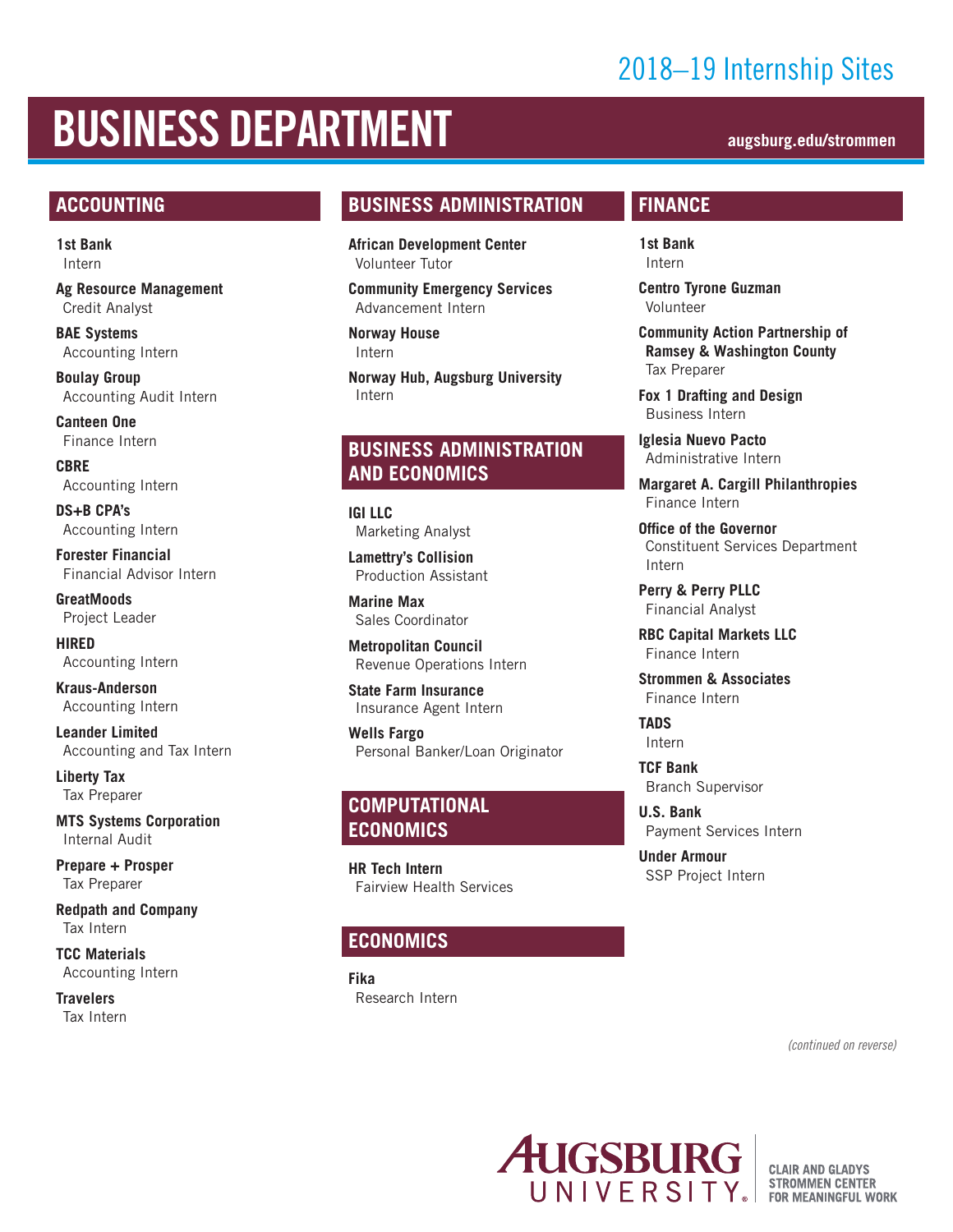## 2018–19 Internship Sites

# BUSINESS DEPARTMENT **augsburg.edu/strommen**

#### **ACCOUNTING**

**1st Bank** Intern

**Ag Resource Management**  Credit Analyst

**BAE Systems** Accounting Intern

**Boulay Group** Accounting Audit Intern

**Canteen One** Finance Intern

**CBRE** Accounting Intern

**DS+B CPA's** Accounting Intern

**Forester Financial** Financial Advisor Intern

**GreatMoods**  Project Leader

**HIRED** Accounting Intern

**Kraus-Anderson** Accounting Intern

**Leander Limited** Accounting and Tax Intern

**Liberty Tax** Tax Preparer

**MTS Systems Corporation** Internal Audit

**Prepare + Prosper** Tax Preparer

**Redpath and Company** Tax Intern

**TCC Materials** Accounting Intern

**Travelers** Tax Intern

#### **BUSINESS ADMINISTRATION**

**African Development Center** Volunteer Tutor

**Community Emergency Services** Advancement Intern

**Norway House** Intern

**Norway Hub, Augsburg University**  Intern

#### **BUSINESS ADMINISTRATION AND ECONOMICS**

**IGI LLC** Marketing Analyst

**Lamettry's Collision** Production Assistant

**Marine Max** Sales Coordinator

**Metropolitan Council** Revenue Operations Intern

**State Farm Insurance** Insurance Agent Intern

**Wells Fargo** Personal Banker/Loan Originator

#### **COMPUTATIONAL ECONOMICS**

**HR Tech Intern** Fairview Health Services

#### **ECONOMICS**

**Fika** Research Intern

#### **FINANCE**

**1st Bank** Intern

**Centro Tyrone Guzman**  Volunteer

**Community Action Partnership of Ramsey & Washington County** Tax Preparer

**Fox 1 Drafting and Design** Business Intern

**Iglesia Nuevo Pacto** Administrative Intern

**Margaret A. Cargill Philanthropies** Finance Intern

**Office of the Governor** Constituent Services Department Intern

**Perry & Perry PLLC** Financial Analyst

**RBC Capital Markets LLC** Finance Intern

**Strommen & Associates** Finance Intern

**TADS** Intern

**TCF Bank** Branch Supervisor

**U.S. Bank** Payment Services Intern

**Under Armour** SSP Project Intern